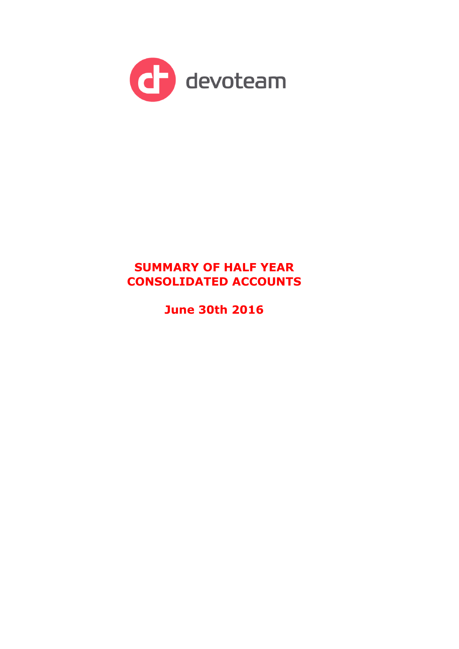

# **SUMMARY OF HALF YEAR CONSOLIDATED ACCOUNTS**

**June 30th 2016**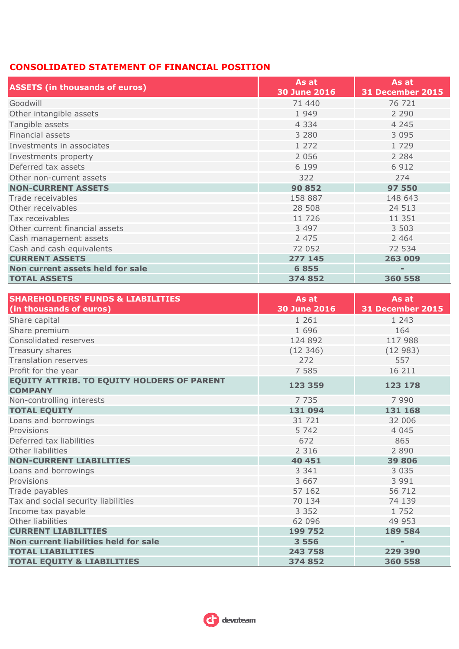# **CONSOLIDATED STATEMENT OF FINANCIAL POSITION**

| <b>ASSETS (in thousands of euros)</b> | As at<br><b>30 June 2016</b> | As at<br><b>31 December 2015</b> |
|---------------------------------------|------------------------------|----------------------------------|
| Goodwill                              | 71 440                       | 76 721                           |
| Other intangible assets               | 1 9 4 9                      | 2 2 9 0                          |
| Tangible assets                       | 4 3 3 4                      | 4 2 4 5                          |
| Financial assets                      | 3 2 8 0                      | 3 0 9 5                          |
| Investments in associates             | 1 272                        | 1 7 2 9                          |
| Investments property                  | 2 0 5 6                      | 2 2 8 4                          |
| Deferred tax assets                   | 6 1 9 9                      | 6 9 1 2                          |
| Other non-current assets              | 322                          | 274                              |
| <b>NON-CURRENT ASSETS</b>             | 90 852                       | 97 550                           |
| Trade receivables                     | 158 887                      | 148 643                          |
| Other receivables                     | 28 508                       | 24 513                           |
| Tax receivables                       | 11 726                       | 11 351                           |
| Other current financial assets        | 3 4 9 7                      | 3 5 0 3                          |
| Cash management assets                | 2 4 7 5                      | 2 4 6 4                          |
| Cash and cash equivalents             | 72 052                       | 72 534                           |
| <b>CURRENT ASSETS</b>                 | 277 145                      | 263 009                          |
| Non current assets held for sale      | 6855                         | $\overline{\phantom{a}}$         |
| <b>TOTAL ASSETS</b>                   | 374 852                      | 360 558                          |

| <b>SHAREHOLDERS' FUNDS &amp; LIABILITIES</b>                        | As at               | As at                    |
|---------------------------------------------------------------------|---------------------|--------------------------|
| (in thousands of euros)                                             | <b>30 June 2016</b> | <b>31 December 2015</b>  |
| Share capital                                                       | 1 2 6 1             | 1 2 4 3                  |
| Share premium                                                       | 1 6 9 6             | 164                      |
| Consolidated reserves                                               | 124 892             | 117 988                  |
| Treasury shares                                                     | (12346)             | (12983)                  |
| <b>Translation reserves</b>                                         | 272                 | 557                      |
| Profit for the year                                                 | 7 5 8 5             | 16 211                   |
| <b>EQUITY ATTRIB. TO EQUITY HOLDERS OF PARENT</b><br><b>COMPANY</b> | 123 359             | 123 178                  |
| Non-controlling interests                                           | 7 7 3 5             | 7 9 9 0                  |
| <b>TOTAL EQUITY</b>                                                 | 131 094             | 131 168                  |
| Loans and borrowings                                                | 31 721              | 32 006                   |
| Provisions                                                          | 5 7 4 2             | 4 0 4 5                  |
| Deferred tax liabilities                                            | 672                 | 865                      |
| Other liabilities                                                   | 2 3 1 6             | 2 8 9 0                  |
| <b>NON-CURRENT LIABILITIES</b>                                      | 40 451              | 39 806                   |
| Loans and borrowings                                                | 3 3 4 1             | 3 0 3 5                  |
| Provisions                                                          | 3 6 6 7             | 3 9 9 1                  |
| Trade payables                                                      | 57 162              | 56 712                   |
| Tax and social security liabilities                                 | 70 134              | 74 139                   |
| Income tax payable                                                  | 3 3 5 2             | 1 7 5 2                  |
| Other liabilities                                                   | 62 096              | 49 953                   |
| <b>CURRENT LIABILITIES</b>                                          | 199 752             | 189 584                  |
| Non current liabilities held for sale                               | 3 5 5 6             | $\overline{\phantom{0}}$ |
| <b>TOTAL LIABILITIES</b>                                            | 243 758             | 229 390                  |
| <b>TOTAL EQUITY &amp; LIABILITIES</b>                               | 374852              | 360 558                  |

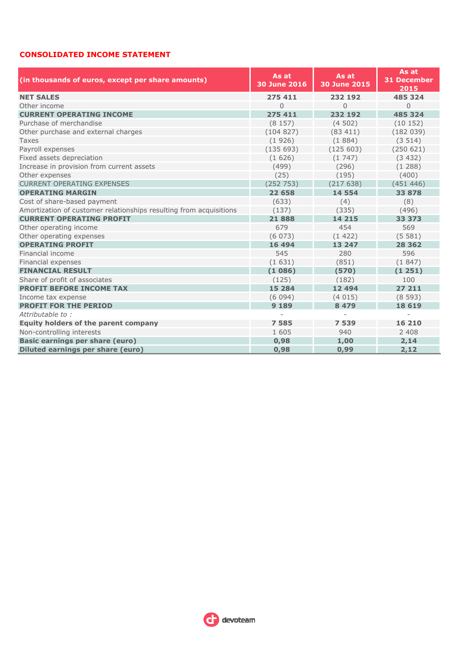## **CONSOLIDATED INCOME STATEMENT**

| (in thousands of euros, except per share amounts)                  | As at<br><b>30 June 2016</b> | As at<br><b>30 June 2015</b> | As at<br><b>31 December</b><br>2015 |
|--------------------------------------------------------------------|------------------------------|------------------------------|-------------------------------------|
| <b>NET SALES</b>                                                   | 275 411                      | 232 192                      | 485 324                             |
| Other income                                                       | $\overline{0}$               | $\Omega$                     | $\Omega$                            |
| <b>CURRENT OPERATING INCOME</b>                                    | 275 411                      | 232 192                      | 485 324                             |
| Purchase of merchandise                                            | (8157)                       | (4502)                       | (10152)                             |
| Other purchase and external charges                                | (104827)                     | (83411)                      | (182039)                            |
| <b>Taxes</b>                                                       | (1926)                       | (1884)                       | (3514)                              |
| Payroll expenses                                                   | (135693)                     | (125603)                     | (250621)                            |
| Fixed assets depreciation                                          | (1626)                       | (1747)                       | (3432)                              |
| Increase in provision from current assets                          | (499)                        | (296)                        | (1288)                              |
| Other expenses                                                     | (25)                         | (195)                        | (400)                               |
| <b>CURRENT OPERATING EXPENSES</b>                                  | (252 753)                    | (217638)                     | (451446)                            |
| <b>OPERATING MARGIN</b>                                            | 22 658                       | 14 5 54                      | 33 878                              |
| Cost of share-based payment                                        | (633)                        | (4)                          | (8)                                 |
| Amortization of customer relationships resulting from acquisitions | (137)                        | (335)                        | (496)                               |
| <b>CURRENT OPERATING PROFIT</b>                                    | 21888                        | 14 215                       | 33 373                              |
| Other operating income                                             | 679                          | 454                          | 569                                 |
| Other operating expenses                                           | (6073)                       | (1422)                       | (5581)                              |
| <b>OPERATING PROFIT</b>                                            | 16 494                       | 13 247                       | 28 3 6 2                            |
| Financial income                                                   | 545                          | 280                          | 596                                 |
| Financial expenses                                                 | (1631)                       | (851)                        | (1847)                              |
| <b>FINANCIAL RESULT</b>                                            | (1086)                       | (570)                        | (1251)                              |
| Share of profit of associates                                      | (125)                        | (182)                        | 100                                 |
| <b>PROFIT BEFORE INCOME TAX</b>                                    | 15 284                       | 12 4 94                      | 27 211                              |
| Income tax expense                                                 | (6094)                       | (4015)                       | (8593)                              |
| <b>PROFIT FOR THE PERIOD</b>                                       | 9 1 8 9                      | 8 4 7 9                      | 18 6 19                             |
| Attributable to:                                                   | $\overline{a}$               |                              |                                     |
| <b>Equity holders of the parent company</b>                        | 7585                         | 7539                         | 16 210                              |
| Non-controlling interests                                          | 1 605                        | 940                          | 2 4 0 8                             |
| <b>Basic earnings per share (euro)</b>                             | 0,98                         | 1,00                         | 2,14                                |
| <b>Diluted earnings per share (euro)</b>                           | 0,98                         | 0,99                         | 2,12                                |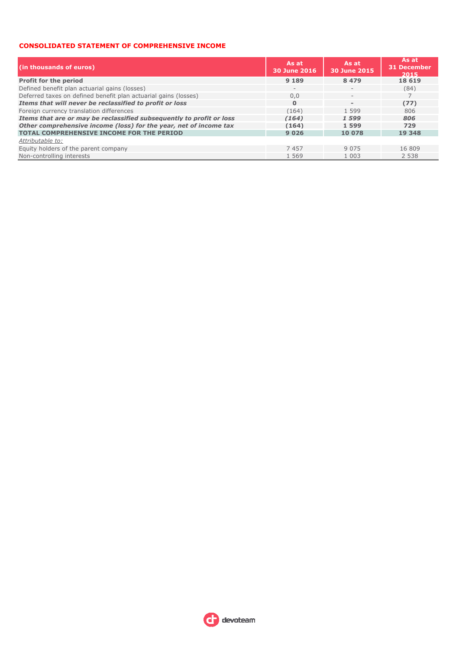#### **CONSOLIDATED STATEMENT OF COMPREHENSIVE INCOME**

| (in thousands of euros)                                              | As at<br>30 June 2016    | As at<br>30 June 2015    | As at<br><b>31 December</b><br>2015 |  |
|----------------------------------------------------------------------|--------------------------|--------------------------|-------------------------------------|--|
| <b>Profit for the period</b>                                         | 9 1 8 9                  | 8 4 7 9                  | 18 6 19                             |  |
| Defined benefit plan actuarial gains (losses)                        | $\overline{\phantom{a}}$ | $\qquad \qquad -$        | (84)                                |  |
| Deferred taxes on defined benefit plan actuarial gains (losses)      | 0,0                      | $\overline{\phantom{a}}$ |                                     |  |
| Items that will never be reclassified to profit or loss              | $\Omega$                 | $\overline{\phantom{a}}$ | (77)                                |  |
| Foreign currency translation differences                             | (164)                    | 1 5 9 9                  | 806                                 |  |
| Items that are or may be reclassified subsequently to profit or loss | (164)                    | 1599                     | 806                                 |  |
| Other comprehensive income (loss) for the year, net of income tax    | (164)                    | 1599                     | 729                                 |  |
| <b>TOTAL COMPREHENSIVE INCOME FOR THE PERIOD</b>                     | 9 0 2 6                  | 10 078                   | 19 348                              |  |
| Attributable to:                                                     |                          |                          |                                     |  |
| Equity holders of the parent company                                 | 7457                     | 9 0 7 5                  | 16 809                              |  |
| Non-controlling interests                                            | 1 5 6 9                  | 1 0 0 3                  | 2 5 3 8                             |  |

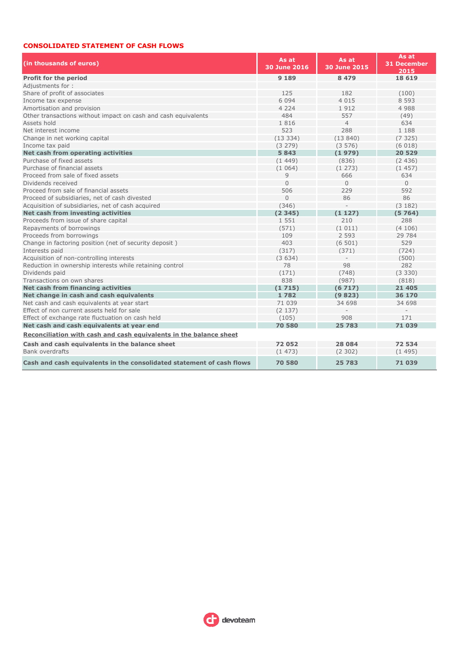### **CONSOLIDATED STATEMENT OF CASH FLOWS**

| (in thousands of euros)                                               | As at<br><b>30 June 2016</b> | As at<br><b>30 June 2015</b> | As at<br><b>31 December</b><br>2015 |  |
|-----------------------------------------------------------------------|------------------------------|------------------------------|-------------------------------------|--|
| <b>Profit for the period</b>                                          | 9 1 8 9                      | 8 4 7 9                      | 18 6 19                             |  |
| Adjustments for:                                                      |                              |                              |                                     |  |
| Share of profit of associates                                         | 125                          | 182                          | (100)                               |  |
| Income tax expense                                                    | 6 0 9 4                      | 4 0 1 5                      | 8 5 9 3                             |  |
| Amortisation and provision                                            | 4 2 2 4                      | 1912                         | 4 9 8 8                             |  |
| Other transactions without impact on cash and cash equivalents        | 484                          | 557                          | (49)                                |  |
| Assets hold                                                           | 1816                         | $\overline{4}$               | 634                                 |  |
| Net interest income                                                   | 523                          | 288                          | 1 188                               |  |
| Change in net working capital                                         | (13334)                      | (13840)                      | (7325)                              |  |
| Income tax paid                                                       | (3 279)                      | (3576)                       | (6018)                              |  |
| Net cash from operating activities                                    | 5843                         | (1979)                       | 20 5 29                             |  |
| Purchase of fixed assets                                              | (1449)                       | (836)                        | (2436)                              |  |
| Purchase of financial assets                                          | (1064)                       | (1273)                       | (1457)                              |  |
| Proceed from sale of fixed assets                                     | 9                            | 666                          | 634                                 |  |
| Dividends received                                                    | $\Omega$                     | $\Omega$                     | $\Omega$                            |  |
| Proceed from sale of financial assets                                 | 506                          | 229                          | 592                                 |  |
| Proceed of subsidiaries, net of cash divested                         | $\overline{0}$               | 86                           | 86                                  |  |
| Acquisition of subsidiaries, net of cash acquired                     | (346)                        |                              | (3182)                              |  |
| Net cash from investing activities                                    | (2345)                       | (1127)                       | (5764)                              |  |
| Proceeds from issue of share capital                                  | 1 5 5 1                      | 210                          | 288                                 |  |
| Repayments of borrowings                                              | (571)                        | (1011)                       | (4106)                              |  |
| Proceeds from borrowings                                              | 109                          | 2 5 9 3                      | 29 784                              |  |
| Change in factoring position (net of security deposit)                | 403                          | (6501)                       | 529                                 |  |
| Interests paid                                                        | (317)                        | (371)                        | (724)                               |  |
| Acquisition of non-controlling interests                              | (3634)                       |                              | (500)                               |  |
| Reduction in ownership interests while retaining control              | 78                           | 98                           | 282                                 |  |
| Dividends paid                                                        | (171)                        | (748)                        | (3330)                              |  |
| Transactions on own shares                                            | 838                          | (987)                        | (818)                               |  |
| Net cash from financing activities                                    | (1715)                       | (6717)                       | 21 4 0 5                            |  |
| Net change in cash and cash equivalents                               | 1782                         | (9823)                       | 36 170                              |  |
| Net cash and cash equivalents at year start                           | 71 039                       | 34 698                       | 34 698                              |  |
| Effect of non current assets held for sale                            | (2137)                       |                              |                                     |  |
| Effect of exchange rate fluctuation on cash held                      | (105)                        | 908                          | 171                                 |  |
| Net cash and cash equivalents at year end                             | 70 580                       | 25 783                       | 71 039                              |  |
| Reconciliation with cash and cash equivalents in the balance sheet    |                              |                              |                                     |  |
| Cash and cash equivalents in the balance sheet                        | 72052                        | 28 0 84                      | 72 534                              |  |
| Bank overdrafts                                                       | (1473)                       | (2302)                       | (1495)                              |  |
| Cash and cash equivalents in the consolidated statement of cash flows | 70 580                       | 25 783                       | 71039                               |  |